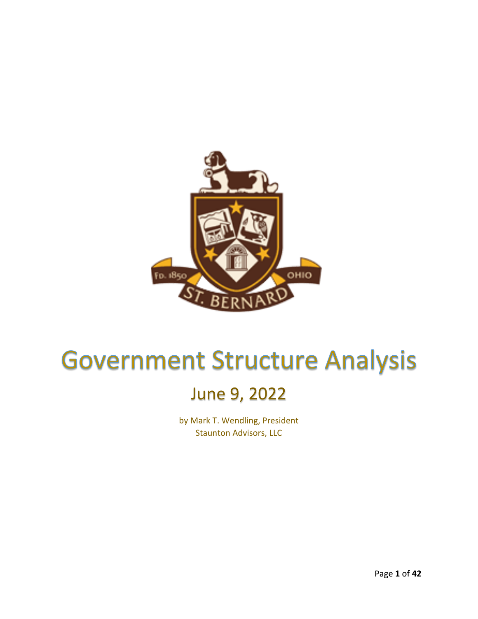

# **Government Structure Analysis**

### June 9, 2022

by Mark T. Wendling, President Staunton Advisors, LLC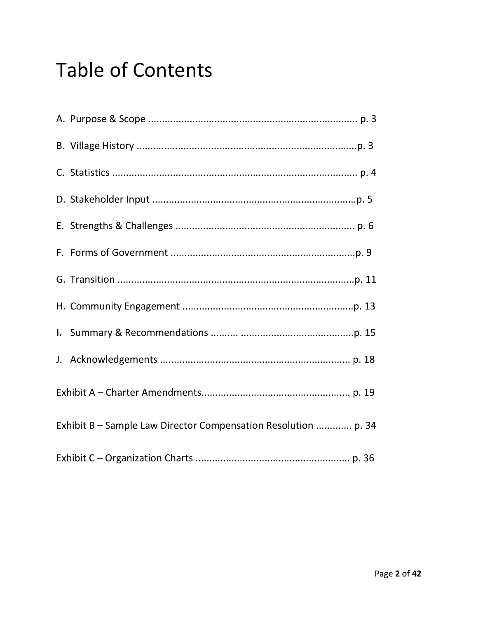## **Table of Contents**

| Exhibit B - Sample Law Director Compensation Resolution  p. 34 |  |
|----------------------------------------------------------------|--|
|                                                                |  |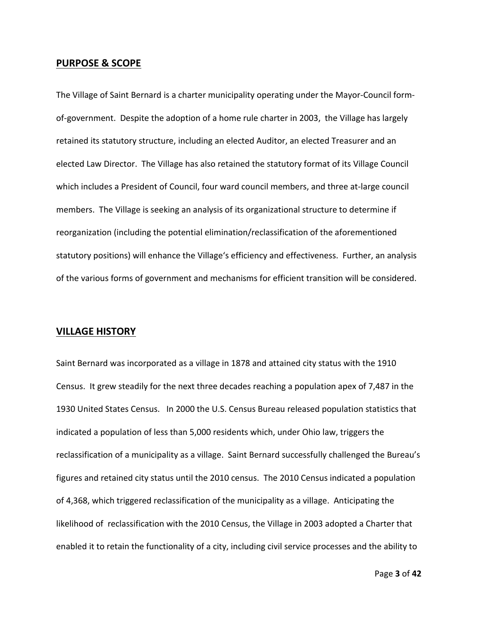### **PURPOSE & SCOPE**

The Village of Saint Bernard is a charter municipality operating under the Mayor-Council formof-government. Despite the adoption of a home rule charter in 2003, the Village has largely retained its statutory structure, including an elected Auditor, an elected Treasurer and an elected Law Director. The Village has also retained the statutory format of its Village Council which includes a President of Council, four ward council members, and three at-large council members. The Village is seeking an analysis of its organizational structure to determine if reorganization (including the potential elimination/reclassification of the aforementioned statutory positions) will enhance the Village's efficiency and effectiveness. Further, an analysis of the various forms of government and mechanisms for efficient transition will be considered.

### **VILLAGE HISTORY**

Saint Bernard was incorporated as a village in 1878 and attained city status with the 1910 Census. It grew steadily for the next three decades reaching a population apex of 7,487 in the 1930 United States Census. In 2000 the U.S. Census Bureau released population statistics that indicated a population of less than 5,000 residents which, under Ohio law, triggers the reclassification of a municipality as a village. Saint Bernard successfully challenged the Bureau's figures and retained city status until the 2010 census. The 2010 Census indicated a population of 4,368, which triggered reclassification of the municipality as a village. Anticipating the likelihood of reclassification with the 2010 Census, the Village in 2003 adopted a Charter that enabled it to retain the functionality of a city, including civil service processes and the ability to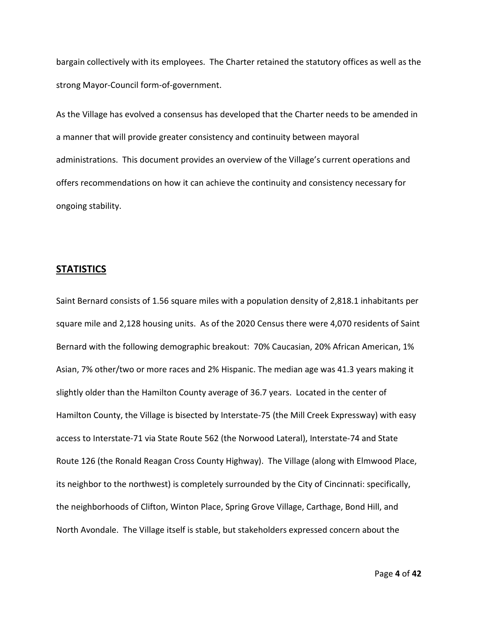bargain collectively with its employees. The Charter retained the statutory offices as well as the strong Mayor-Council form-of-government.

As the Village has evolved a consensus has developed that the Charter needs to be amended in a manner that will provide greater consistency and continuity between mayoral administrations. This document provides an overview of the Village's current operations and offers recommendations on how it can achieve the continuity and consistency necessary for ongoing stability.

### **STATISTICS**

Saint Bernard consists of 1.56 square miles with a population density of 2,818.1 inhabitants per square mile and 2,128 housing units. As of the 2020 Census there were 4,070 residents of Saint Bernard with the following demographic breakout: 70% Caucasian, 20% African American, 1% Asian, 7% other/two or more races and 2% Hispanic. The median age was 41.3 years making it slightly older than the Hamilton County average of 36.7 years. Located in the center of Hamilton County, the Village is bisected by Interstate-75 (the Mill Creek Expressway) with easy access to Interstate-71 via State Route 562 (the Norwood Lateral), Interstate-74 and State Route 126 (the Ronald Reagan Cross County Highway). The Village (along with Elmwood Place, its neighbor to the northwest) is completely surrounded by the City of Cincinnati: specifically, the neighborhoods of Clifton, Winton Place, Spring Grove Village, Carthage, Bond Hill, and North Avondale. The Village itself is stable, but stakeholders expressed concern about the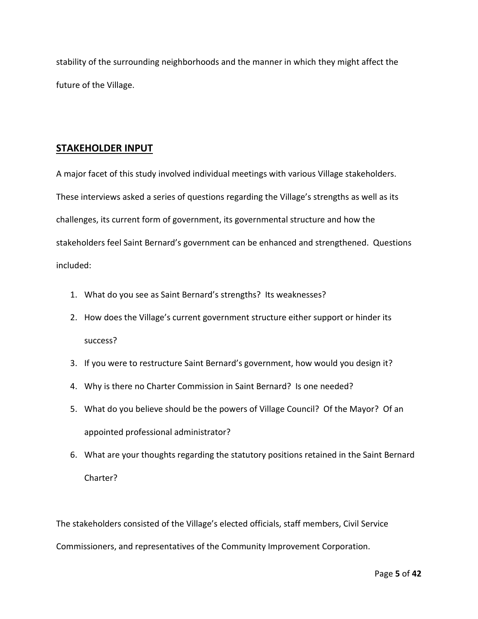stability of the surrounding neighborhoods and the manner in which they might affect the future of the Village.

### **STAKEHOLDER INPUT**

A major facet of this study involved individual meetings with various Village stakeholders. These interviews asked a series of questions regarding the Village's strengths as well as its challenges, its current form of government, its governmental structure and how the stakeholders feel Saint Bernard's government can be enhanced and strengthened. Questions included:

- 1. What do you see as Saint Bernard's strengths? Its weaknesses?
- 2. How does the Village's current government structure either support or hinder its success?
- 3. If you were to restructure Saint Bernard's government, how would you design it?
- 4. Why is there no Charter Commission in Saint Bernard? Is one needed?
- 5. What do you believe should be the powers of Village Council? Of the Mayor? Of an appointed professional administrator?
- 6. What are your thoughts regarding the statutory positions retained in the Saint Bernard Charter?

The stakeholders consisted of the Village's elected officials, staff members, Civil Service Commissioners, and representatives of the Community Improvement Corporation.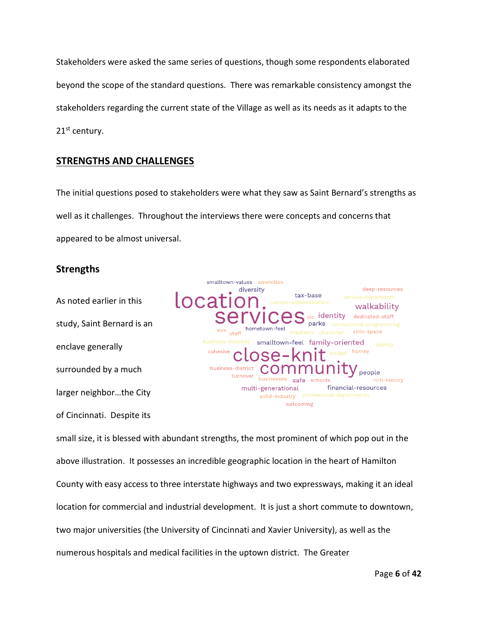Stakeholders were asked the same series of questions, though some respondents elaborated beyond the scope of the standard questions. There was remarkable consistency amongst the stakeholders regarding the current state of the Village as well as its needs as it adapts to the 21<sup>st</sup> century.

### **STRENGTHS AND CHALLENGES**

The initial questions posed to stakeholders were what they saw as Saint Bernard's strengths as well as it challenges. Throughout the interviews there were concepts and concerns that appeared to be almost universal.

### **Strengths**

As noted earlier in this study, Saint Bernard is an enclave generally surrounded by a much larger neighbor…the City of Cincinnati. Despite its



small size, it is blessed with abundant strengths, the most prominent of which pop out in the above illustration. It possesses an incredible geographic location in the heart of Hamilton County with easy access to three interstate highways and two expressways, making it an ideal location for commercial and industrial development. It is just a short commute to downtown, two major universities (the University of Cincinnati and Xavier University), as well as the numerous hospitals and medical facilities in the uptown district. The Greater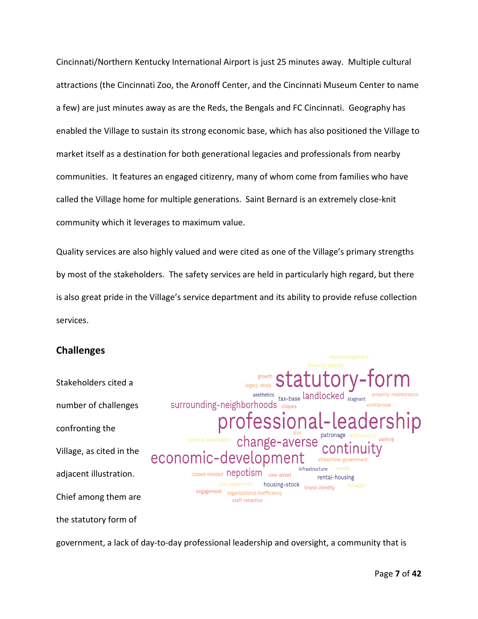Cincinnati/Northern Kentucky International Airport is just 25 minutes away. Multiple cultural attractions (the Cincinnati Zoo, the Aronoff Center, and the Cincinnati Museum Center to name a few) are just minutes away as are the Reds, the Bengals and FC Cincinnati. Geography has enabled the Village to sustain its strong economic base, which has also positioned the Village to market itself as a destination for both generational legacies and professionals from nearby communities. It features an engaged citizenry, many of whom come from families who have called the Village home for multiple generations. Saint Bernard is an extremely close-knit community which it leverages to maximum value.

Quality services are also highly valued and were cited as one of the Village's primary strengths by most of the stakeholders. The safety services are held in particularly high regard, but there is also great pride in the Village's service department and its ability to provide refuse collection services.

surrounding-neighborhoods cliques

economic-developmen

closed-minded nepotism vine-street

engagement organizational-inefficiency staff-retention

aesthetics tax-base landlocked

infrastructure

housing-stock<br>brand-identity

rental-housing

essiona

change-avers

### **Challenges**

Stakeholders cited a number of challenges confronting the Village, as cited in the adjacent illustration. Chief among them are

the statutory form of

government, a lack of day-to-day professional leadership and oversight, a community that is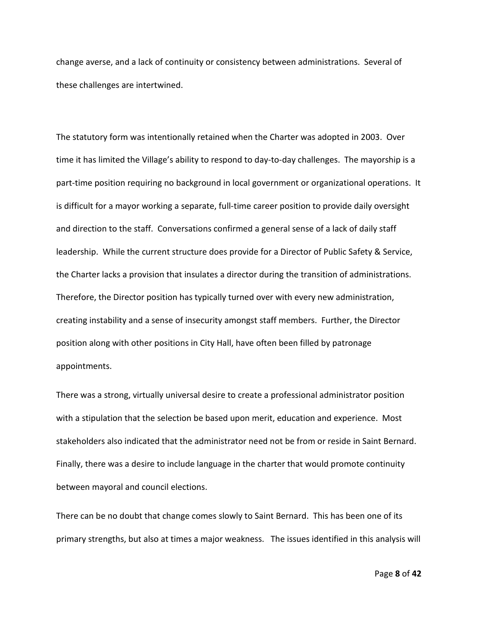change averse, and a lack of continuity or consistency between administrations. Several of these challenges are intertwined.

The statutory form was intentionally retained when the Charter was adopted in 2003. Over time it has limited the Village's ability to respond to day-to-day challenges. The mayorship is a part-time position requiring no background in local government or organizational operations. It is difficult for a mayor working a separate, full-time career position to provide daily oversight and direction to the staff. Conversations confirmed a general sense of a lack of daily staff leadership. While the current structure does provide for a Director of Public Safety & Service, the Charter lacks a provision that insulates a director during the transition of administrations. Therefore, the Director position has typically turned over with every new administration, creating instability and a sense of insecurity amongst staff members. Further, the Director position along with other positions in City Hall, have often been filled by patronage appointments.

There was a strong, virtually universal desire to create a professional administrator position with a stipulation that the selection be based upon merit, education and experience. Most stakeholders also indicated that the administrator need not be from or reside in Saint Bernard. Finally, there was a desire to include language in the charter that would promote continuity between mayoral and council elections.

There can be no doubt that change comes slowly to Saint Bernard. This has been one of its primary strengths, but also at times a major weakness. The issues identified in this analysis will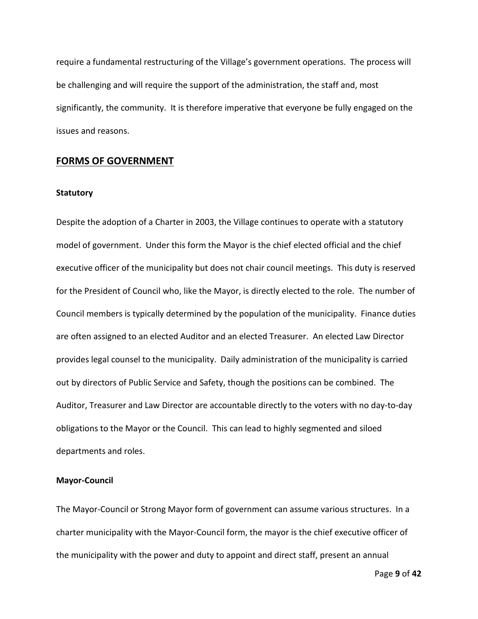require a fundamental restructuring of the Village's government operations. The process will be challenging and will require the support of the administration, the staff and, most significantly, the community. It is therefore imperative that everyone be fully engaged on the issues and reasons.

### **FORMS OF GOVERNMENT**

### **Statutory**

Despite the adoption of a Charter in 2003, the Village continues to operate with a statutory model of government. Under this form the Mayor is the chief elected official and the chief executive officer of the municipality but does not chair council meetings. This duty is reserved for the President of Council who, like the Mayor, is directly elected to the role. The number of Council members is typically determined by the population of the municipality. Finance duties are often assigned to an elected Auditor and an elected Treasurer. An elected Law Director provides legal counsel to the municipality. Daily administration of the municipality is carried out by directors of Public Service and Safety, though the positions can be combined. The Auditor, Treasurer and Law Director are accountable directly to the voters with no day-to-day obligations to the Mayor or the Council. This can lead to highly segmented and siloed departments and roles.

### **Mayor-Council**

The Mayor-Council or Strong Mayor form of government can assume various structures. In a charter municipality with the Mayor-Council form, the mayor is the chief executive officer of the municipality with the power and duty to appoint and direct staff, present an annual

Page **9** of **42**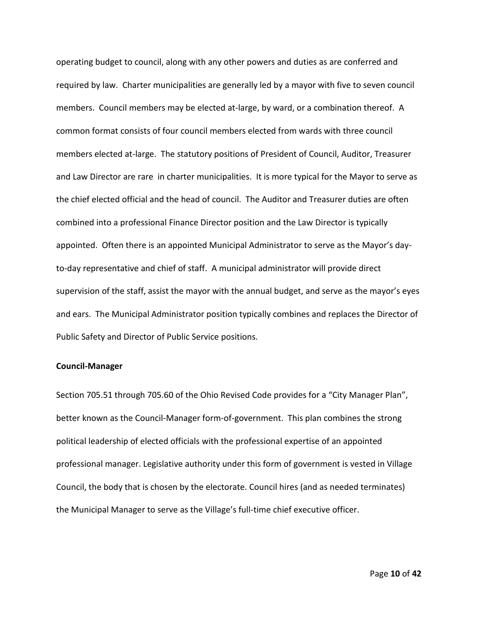operating budget to council, along with any other powers and duties as are conferred and required by law. Charter municipalities are generally led by a mayor with five to seven council members. Council members may be elected at-large, by ward, or a combination thereof. A common format consists of four council members elected from wards with three council members elected at-large. The statutory positions of President of Council, Auditor, Treasurer and Law Director are rare in charter municipalities. It is more typical for the Mayor to serve as the chief elected official and the head of council. The Auditor and Treasurer duties are often combined into a professional Finance Director position and the Law Director is typically appointed. Often there is an appointed Municipal Administrator to serve as the Mayor's dayto-day representative and chief of staff. A municipal administrator will provide direct supervision of the staff, assist the mayor with the annual budget, and serve as the mayor's eyes and ears. The Municipal Administrator position typically combines and replaces the Director of Public Safety and Director of Public Service positions.

#### **Council-Manager**

Section 705.51 through 705.60 of the Ohio Revised Code provides for a "City Manager Plan", better known as the Council-Manager form-of-government. This plan combines the strong political leadership of elected officials with the professional expertise of an appointed professional manager. Legislative authority under this form of government is vested in Village Council, the body that is chosen by the electorate. Council hires (and as needed terminates) the Municipal Manager to serve as the Village's full-time chief executive officer.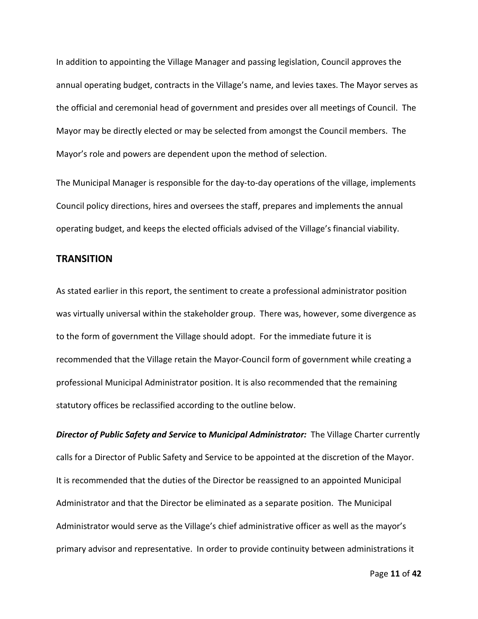In addition to appointing the Village Manager and passing legislation, Council approves the annual operating budget, contracts in the Village's name, and levies taxes. The Mayor serves as the official and ceremonial head of government and presides over all meetings of Council. The Mayor may be directly elected or may be selected from amongst the Council members. The Mayor's role and powers are dependent upon the method of selection.

The Municipal Manager is responsible for the day-to-day operations of the village, implements Council policy directions, hires and oversees the staff, prepares and implements the annual operating budget, and keeps the elected officials advised of the Village's financial viability.

### **TRANSITION**

As stated earlier in this report, the sentiment to create a professional administrator position was virtually universal within the stakeholder group. There was, however, some divergence as to the form of government the Village should adopt. For the immediate future it is recommended that the Village retain the Mayor-Council form of government while creating a professional Municipal Administrator position. It is also recommended that the remaining statutory offices be reclassified according to the outline below.

*Director of Public Safety and Service* **to** *Municipal Administrator:* The Village Charter currently calls for a Director of Public Safety and Service to be appointed at the discretion of the Mayor. It is recommended that the duties of the Director be reassigned to an appointed Municipal Administrator and that the Director be eliminated as a separate position. The Municipal Administrator would serve as the Village's chief administrative officer as well as the mayor's primary advisor and representative. In order to provide continuity between administrations it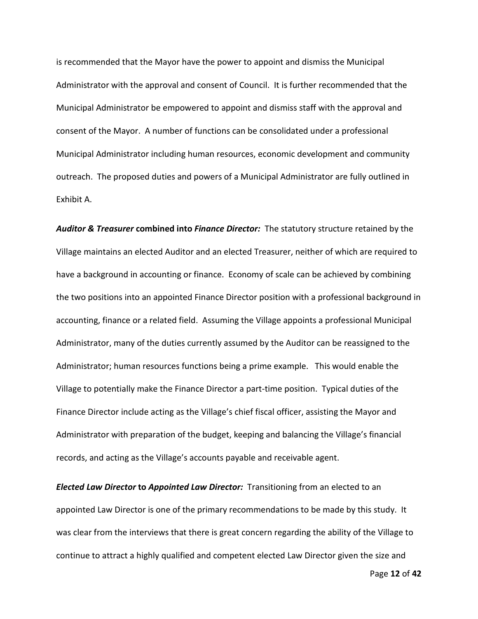is recommended that the Mayor have the power to appoint and dismiss the Municipal Administrator with the approval and consent of Council. It is further recommended that the Municipal Administrator be empowered to appoint and dismiss staff with the approval and consent of the Mayor. A number of functions can be consolidated under a professional Municipal Administrator including human resources, economic development and community outreach. The proposed duties and powers of a Municipal Administrator are fully outlined in Exhibit A.

*Auditor & Treasurer* **combined into** *Finance Director:* The statutory structure retained by the Village maintains an elected Auditor and an elected Treasurer, neither of which are required to have a background in accounting or finance. Economy of scale can be achieved by combining the two positions into an appointed Finance Director position with a professional background in accounting, finance or a related field. Assuming the Village appoints a professional Municipal Administrator, many of the duties currently assumed by the Auditor can be reassigned to the Administrator; human resources functions being a prime example. This would enable the Village to potentially make the Finance Director a part-time position. Typical duties of the Finance Director include acting as the Village's chief fiscal officer, assisting the Mayor and Administrator with preparation of the budget, keeping and balancing the Village's financial records, and acting as the Village's accounts payable and receivable agent.

*Elected Law Director* **to** *Appointed Law Director:* Transitioning from an elected to an appointed Law Director is one of the primary recommendations to be made by this study. It was clear from the interviews that there is great concern regarding the ability of the Village to continue to attract a highly qualified and competent elected Law Director given the size and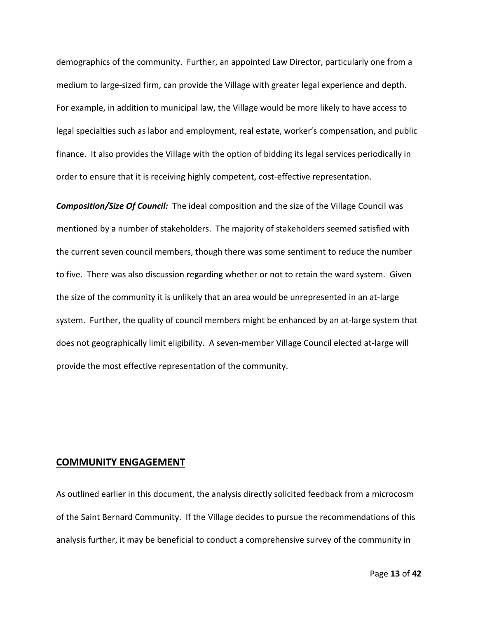demographics of the community. Further, an appointed Law Director, particularly one from a medium to large-sized firm, can provide the Village with greater legal experience and depth. For example, in addition to municipal law, the Village would be more likely to have access to legal specialties such as labor and employment, real estate, worker's compensation, and public finance. It also provides the Village with the option of bidding its legal services periodically in order to ensure that it is receiving highly competent, cost-effective representation.

*Composition/Size Of Council:* The ideal composition and the size of the Village Council was mentioned by a number of stakeholders. The majority of stakeholders seemed satisfied with the current seven council members, though there was some sentiment to reduce the number to five. There was also discussion regarding whether or not to retain the ward system. Given the size of the community it is unlikely that an area would be unrepresented in an at-large system. Further, the quality of council members might be enhanced by an at-large system that does not geographically limit eligibility. A seven-member Village Council elected at-large will provide the most effective representation of the community.

### **COMMUNITY ENGAGEMENT**

As outlined earlier in this document, the analysis directly solicited feedback from a microcosm of the Saint Bernard Community. If the Village decides to pursue the recommendations of this analysis further, it may be beneficial to conduct a comprehensive survey of the community in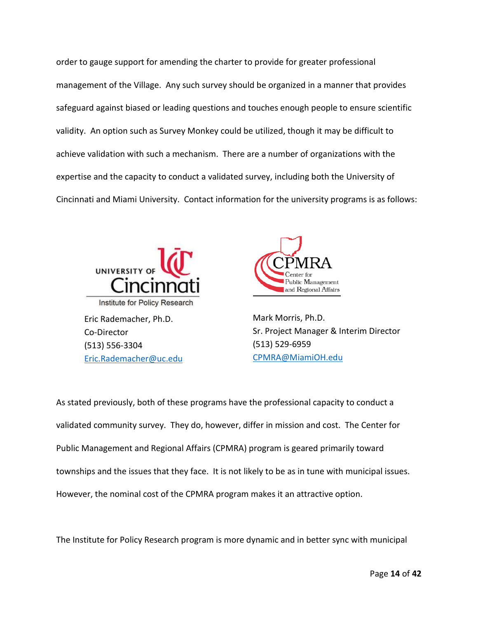order to gauge support for amending the charter to provide for greater professional management of the Village. Any such survey should be organized in a manner that provides safeguard against biased or leading questions and touches enough people to ensure scientific validity. An option such as Survey Monkey could be utilized, though it may be difficult to achieve validation with such a mechanism. There are a number of organizations with the expertise and the capacity to conduct a validated survey, including both the University of Cincinnati and Miami University. Contact information for the university programs is as follows:



[Eric.Rademacher@uc.edu](mailto:Eric.Rademacher@uc.edu)



Mark Morris, Ph.D. Sr. Project Manager & Interim Director (513) 529-6959 [CPMRA@MiamiOH.edu](mailto:CPMRA@MiamiOH.edu)

As stated previously, both of these programs have the professional capacity to conduct a validated community survey. They do, however, differ in mission and cost. The Center for Public Management and Regional Affairs (CPMRA) program is geared primarily toward townships and the issues that they face. It is not likely to be as in tune with municipal issues. However, the nominal cost of the CPMRA program makes it an attractive option.

The Institute for Policy Research program is more dynamic and in better sync with municipal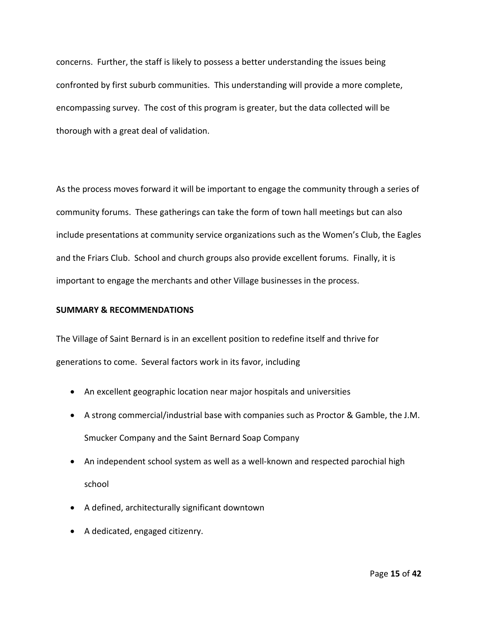concerns. Further, the staff is likely to possess a better understanding the issues being confronted by first suburb communities. This understanding will provide a more complete, encompassing survey. The cost of this program is greater, but the data collected will be thorough with a great deal of validation.

As the process moves forward it will be important to engage the community through a series of community forums. These gatherings can take the form of town hall meetings but can also include presentations at community service organizations such as the Women's Club, the Eagles and the Friars Club. School and church groups also provide excellent forums. Finally, it is important to engage the merchants and other Village businesses in the process.

### **SUMMARY & RECOMMENDATIONS**

The Village of Saint Bernard is in an excellent position to redefine itself and thrive for generations to come. Several factors work in its favor, including

- An excellent geographic location near major hospitals and universities
- A strong commercial/industrial base with companies such as Proctor & Gamble, the J.M. Smucker Company and the Saint Bernard Soap Company
- An independent school system as well as a well-known and respected parochial high school
- A defined, architecturally significant downtown
- A dedicated, engaged citizenry.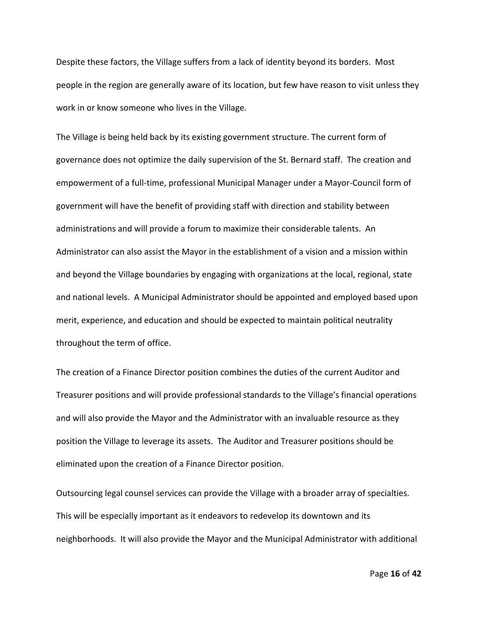Despite these factors, the Village suffers from a lack of identity beyond its borders. Most people in the region are generally aware of its location, but few have reason to visit unless they work in or know someone who lives in the Village.

The Village is being held back by its existing government structure. The current form of governance does not optimize the daily supervision of the St. Bernard staff. The creation and empowerment of a full-time, professional Municipal Manager under a Mayor-Council form of government will have the benefit of providing staff with direction and stability between administrations and will provide a forum to maximize their considerable talents. An Administrator can also assist the Mayor in the establishment of a vision and a mission within and beyond the Village boundaries by engaging with organizations at the local, regional, state and national levels. A Municipal Administrator should be appointed and employed based upon merit, experience, and education and should be expected to maintain political neutrality throughout the term of office.

The creation of a Finance Director position combines the duties of the current Auditor and Treasurer positions and will provide professional standards to the Village's financial operations and will also provide the Mayor and the Administrator with an invaluable resource as they position the Village to leverage its assets. The Auditor and Treasurer positions should be eliminated upon the creation of a Finance Director position.

Outsourcing legal counsel services can provide the Village with a broader array of specialties. This will be especially important as it endeavors to redevelop its downtown and its neighborhoods. It will also provide the Mayor and the Municipal Administrator with additional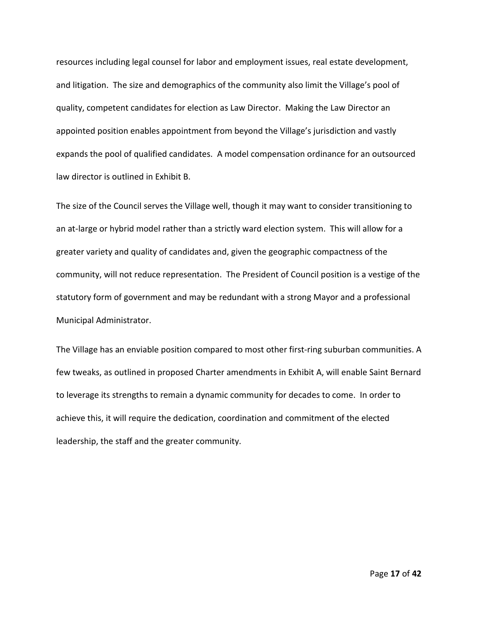resources including legal counsel for labor and employment issues, real estate development, and litigation. The size and demographics of the community also limit the Village's pool of quality, competent candidates for election as Law Director. Making the Law Director an appointed position enables appointment from beyond the Village's jurisdiction and vastly expands the pool of qualified candidates. A model compensation ordinance for an outsourced law director is outlined in Exhibit B.

The size of the Council serves the Village well, though it may want to consider transitioning to an at-large or hybrid model rather than a strictly ward election system. This will allow for a greater variety and quality of candidates and, given the geographic compactness of the community, will not reduce representation. The President of Council position is a vestige of the statutory form of government and may be redundant with a strong Mayor and a professional Municipal Administrator.

The Village has an enviable position compared to most other first-ring suburban communities. A few tweaks, as outlined in proposed Charter amendments in Exhibit A, will enable Saint Bernard to leverage its strengths to remain a dynamic community for decades to come. In order to achieve this, it will require the dedication, coordination and commitment of the elected leadership, the staff and the greater community.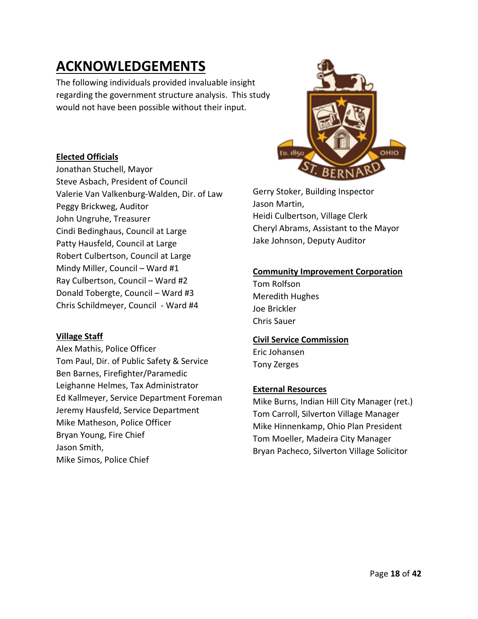### **ACKNOWLEDGEMENTS**

The following individuals provided invaluable insight regarding the government structure analysis. This study would not have been possible without their input.

### **Elected Officials**

Jonathan Stuchell, Mayor Steve Asbach, President of Council Valerie Van Valkenburg-Walden, Dir. of Law Peggy Brickweg, Auditor John Ungruhe, Treasurer Cindi Bedinghaus, Council at Large Patty Hausfeld, Council at Large Robert Culbertson, Council at Large Mindy Miller, Council – Ward #1 Ray Culbertson, Council – Ward #2 Donald Tobergte, Council – Ward #3 Chris Schildmeyer, Council - Ward #4

### **Village Staff**

Alex Mathis, Police Officer Tom Paul, Dir. of Public Safety & Service Ben Barnes, Firefighter/Paramedic Leighanne Helmes, Tax Administrator Ed Kallmeyer, Service Department Foreman Jeremy Hausfeld, Service Department Mike Matheson, Police Officer Bryan Young, Fire Chief Jason Smith, Mike Simos, Police Chief



Gerry Stoker, Building Inspector Jason Martin, Heidi Culbertson, Village Clerk Cheryl Abrams, Assistant to the Mayor Jake Johnson, Deputy Auditor

### **Community Improvement Corporation**

Tom Rolfson Meredith Hughes Joe Brickler Chris Sauer

### **Civil Service Commission**

Eric Johansen Tony Zerges

### **External Resources**

Mike Burns, Indian Hill City Manager (ret.) Tom Carroll, Silverton Village Manager Mike Hinnenkamp, Ohio Plan President Tom Moeller, Madeira City Manager Bryan Pacheco, Silverton Village Solicitor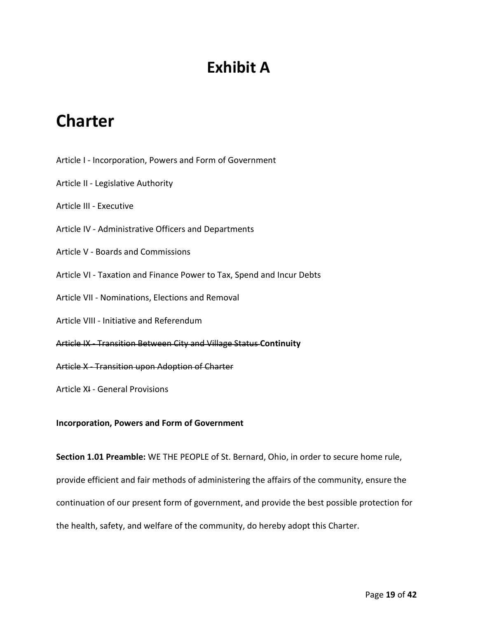### **Exhibit A**

### **Charter**

- Article I [Incorporation, Powers and Form of Government](https://www.cityofstbernard.org/government/charter#article-1)
- Article II [Legislative Authority](https://www.cityofstbernard.org/government/charter#article-2)
- [Article III -](https://www.cityofstbernard.org/government/charter#article-3) Executive
- Article IV [Administrative Officers and Departments](https://www.cityofstbernard.org/government/charter#article-4)
- Article V [Boards and Commissions](https://www.cityofstbernard.org/government/charter#article-5)
- Article VI [Taxation and Finance Power to Tax, Spend and Incur Debts](https://www.cityofstbernard.org/government/charter#article-6)
- Article VII [Nominations, Elections and Removal](https://www.cityofstbernard.org/government/charter#article-7)
- Article VIII [Initiative and Referendum](https://www.cityofstbernard.org/government/charter#article-8)
- Article IX [Transition Between City and Village Status](https://www.cityofstbernard.org/government/charter#article-9) **Continuity**
- Article X [Transition upon Adoption of Charter](https://www.cityofstbernard.org/government/charter#article-10)
- Article XI [General Provisions](https://www.cityofstbernard.org/government/charter#article-11)

**Incorporation, Powers and Form of Government**

**Section 1.01 Preamble:** WE THE PEOPLE of St. Bernard, Ohio, in order to secure home rule, provide efficient and fair methods of administering the affairs of the community, ensure the continuation of our present form of government, and provide the best possible protection for the health, safety, and welfare of the community, do hereby adopt this Charter.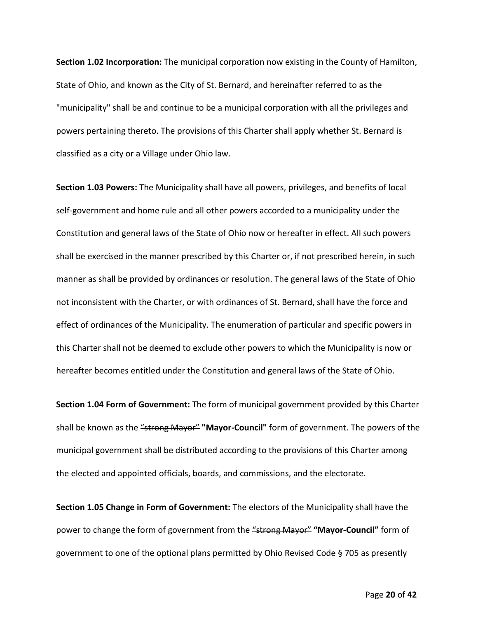**Section 1.02 Incorporation:** The municipal corporation now existing in the County of Hamilton, State of Ohio, and known as the City of St. Bernard, and hereinafter referred to as the "municipality" shall be and continue to be a municipal corporation with all the privileges and powers pertaining thereto. The provisions of this Charter shall apply whether St. Bernard is classified as a city or a Village under Ohio law.

**Section 1.03 Powers:** The Municipality shall have all powers, privileges, and benefits of local self-government and home rule and all other powers accorded to a municipality under the Constitution and general laws of the State of Ohio now or hereafter in effect. All such powers shall be exercised in the manner prescribed by this Charter or, if not prescribed herein, in such manner as shall be provided by ordinances or resolution. The general laws of the State of Ohio not inconsistent with the Charter, or with ordinances of St. Bernard, shall have the force and effect of ordinances of the Municipality. The enumeration of particular and specific powers in this Charter shall not be deemed to exclude other powers to which the Municipality is now or hereafter becomes entitled under the Constitution and general laws of the State of Ohio.

**Section 1.04 Form of Government:** The form of municipal government provided by this Charter shall be known as the "strong Mayor" "Mayor-Council" form of government. The powers of the municipal government shall be distributed according to the provisions of this Charter among the elected and appointed officials, boards, and commissions, and the electorate.

**Section 1.05 Change in Form of Government:** The electors of the Municipality shall have the power to change the form of government from the "strong Mayor" **"Mayor-Council"** form of government to one of the optional plans permitted by Ohio Revised Code § 705 as presently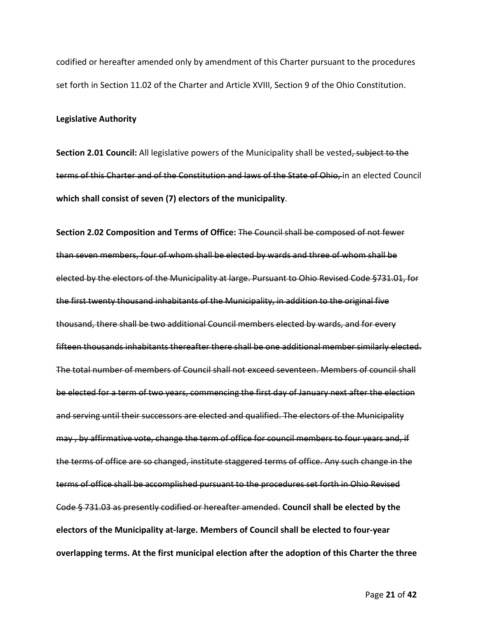codified or hereafter amended only by amendment of this Charter pursuant to the procedures set forth in Section 11.02 of the Charter and Article XVIII, Section 9 of the Ohio Constitution.

#### **Legislative Authority**

**Section 2.01 Council:** All legislative powers of the Municipality shall be vested, subject to the terms of this Charter and of the Constitution and laws of the State of Ohio, in an elected Council **which shall consist of seven (7) electors of the municipality**.

**Section 2.02 Composition and Terms of Office:** The Council shall be composed of not fewer than seven members, four of whom shall be elected by wards and three of whom shall be elected by the electors of the Municipality at large. Pursuant to Ohio Revised Code §731.01, for the first twenty thousand inhabitants of the Municipality, in addition to the original five thousand, there shall be two additional Council members elected by wards, and for every fifteen thousands inhabitants thereafter there shall be one additional member similarly elected. The total number of members of Council shall not exceed seventeen. Members of council shall be elected for a term of two years, commencing the first day of January next after the election and serving until their successors are elected and qualified. The electors of the Municipality may , by affirmative vote, change the term of office for council members to four years and, if the terms of office are so changed, institute staggered terms of office. Any such change in the terms of office shall be accomplished pursuant to the procedures set forth in Ohio Revised Code § 731.03 as presently codified or hereafter amended. **Council shall be elected by the electors of the Municipality at-large. Members of Council shall be elected to four-year overlapping terms. At the first municipal election after the adoption of this Charter the three**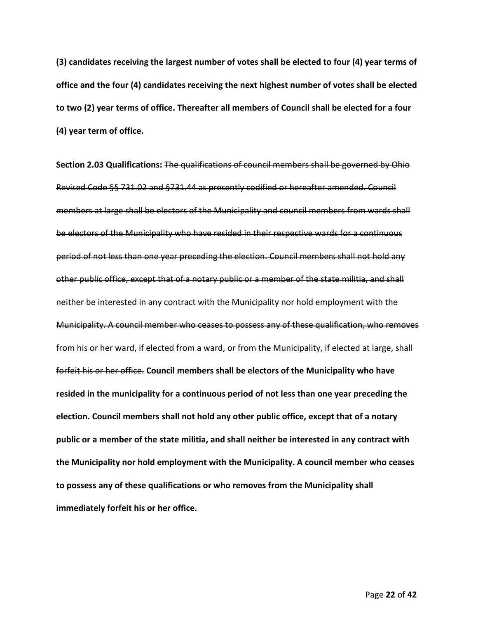**(3) candidates receiving the largest number of votes shall be elected to four (4) year terms of office and the four (4) candidates receiving the next highest number of votes shall be elected to two (2) year terms of office. Thereafter all members of Council shall be elected for a four (4) year term of office.**

**Section 2.03 Qualifications:** The qualifications of council members shall be governed by Ohio Revised Code §§ 731.02 and §731.44 as presently codified or hereafter amended. Council members at large shall be electors of the Municipality and council members from wards shall be electors of the Municipality who have resided in their respective wards for a continuous period of not less than one year preceding the election. Council members shall not hold any other public office, except that of a notary public or a member of the state militia, and shall neither be interested in any contract with the Municipality nor hold employment with the Municipality. A council member who ceases to possess any of these qualification, who removes from his or her ward, if elected from a ward, or from the Municipality, if elected at large, shall forfeit his or her office. **Council members shall be electors of the Municipality who have resided in the municipality for a continuous period of not less than one year preceding the election. Council members shall not hold any other public office, except that of a notary public or a member of the state militia, and shall neither be interested in any contract with the Municipality nor hold employment with the Municipality. A council member who ceases to possess any of these qualifications or who removes from the Municipality shall immediately forfeit his or her office.**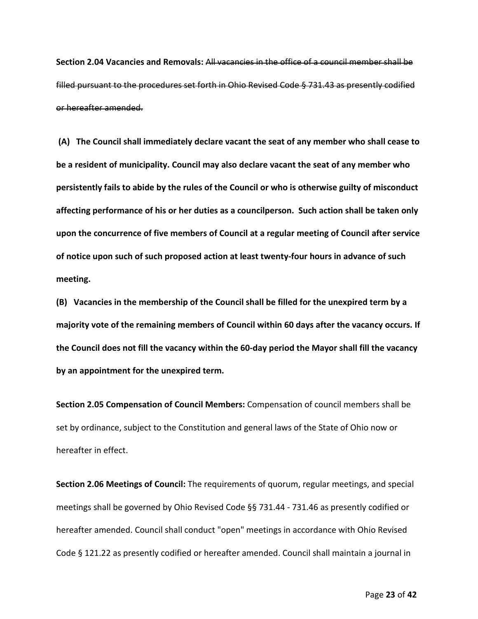**Section 2.04 Vacancies and Removals:** All vacancies in the office of a council member shall be filled pursuant to the procedures set forth in Ohio Revised Code § 731.43 as presently codified or hereafter amended.

**(A) The Council shall immediately declare vacant the seat of any member who shall cease to be a resident of municipality. Council may also declare vacant the seat of any member who persistently fails to abide by the rules of the Council or who is otherwise guilty of misconduct affecting performance of his or her duties as a councilperson. Such action shall be taken only upon the concurrence of five members of Council at a regular meeting of Council after service of notice upon such of such proposed action at least twenty-four hours in advance of such meeting.**

**(B) Vacancies in the membership of the Council shall be filled for the unexpired term by a majority vote of the remaining members of Council within 60 days after the vacancy occurs. If the Council does not fill the vacancy within the 60-day period the Mayor shall fill the vacancy by an appointment for the unexpired term.**

**Section 2.05 Compensation of Council Members:** Compensation of council members shall be set by ordinance, subject to the Constitution and general laws of the State of Ohio now or hereafter in effect.

**Section 2.06 Meetings of Council:** The requirements of quorum, regular meetings, and special meetings shall be governed by Ohio Revised Code §§ 731.44 - 731.46 as presently codified or hereafter amended. Council shall conduct "open" meetings in accordance with Ohio Revised Code § 121.22 as presently codified or hereafter amended. Council shall maintain a journal in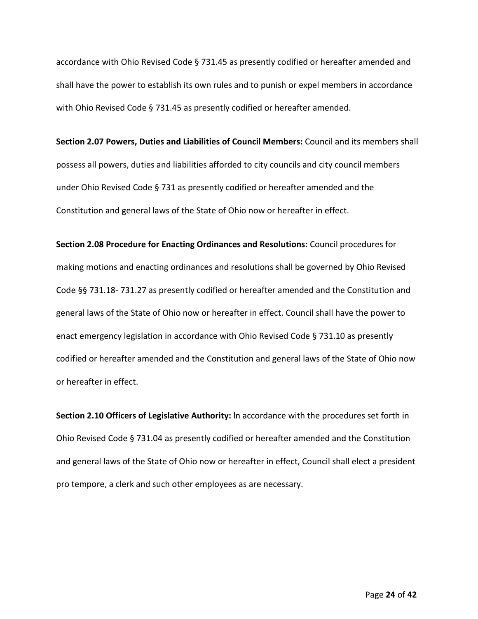accordance with Ohio Revised Code § 731.45 as presently codified or hereafter amended and shall have the power to establish its own rules and to punish or expel members in accordance with Ohio Revised Code § 731.45 as presently codified or hereafter amended.

**Section 2.07 Powers, Duties and Liabilities of Council Members:** Council and its members shall possess all powers, duties and liabilities afforded to city councils and city council members under Ohio Revised Code § 731 as presently codified or hereafter amended and the Constitution and general laws of the State of Ohio now or hereafter in effect.

**Section 2.08 Procedure for Enacting Ordinances and Resolutions:** Council procedures for making motions and enacting ordinances and resolutions shall be governed by Ohio Revised Code §§ 731.18- 731.27 as presently codified or hereafter amended and the Constitution and general laws of the State of Ohio now or hereafter in effect. Council shall have the power to enact emergency legislation in accordance with Ohio Revised Code § 731.10 as presently codified or hereafter amended and the Constitution and general laws of the State of Ohio now or hereafter in effect.

**Section 2.10 Officers of Legislative Authority:** ln accordance with the procedures set forth in Ohio Revised Code § 731.04 as presently codified or hereafter amended and the Constitution and general laws of the State of Ohio now or hereafter in effect, Council shall elect a president pro tempore, a clerk and such other employees as are necessary.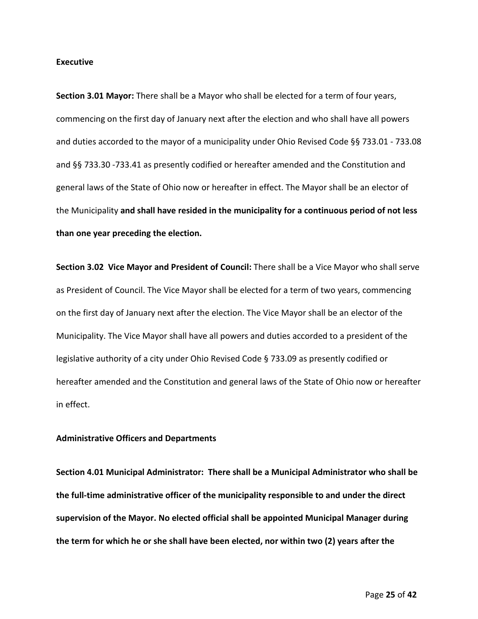### **Executive**

**Section 3.01 Mayor:** There shall be a Mayor who shall be elected for a term of four years, commencing on the first day of January next after the election and who shall have all powers and duties accorded to the mayor of a municipality under Ohio Revised Code §§ 733.01 - 733.08 and §§ 733.30 -733.41 as presently codified or hereafter amended and the Constitution and general laws of the State of Ohio now or hereafter in effect. The Mayor shall be an elector of the Municipality **and shall have resided in the municipality for a continuous period of not less than one year preceding the election.**

**Section 3.02 Vice Mayor and President of Council:** There shall be a Vice Mayor who shall serve as President of Council. The Vice Mayor shall be elected for a term of two years, commencing on the first day of January next after the election. The Vice Mayor shall be an elector of the Municipality. The Vice Mayor shall have all powers and duties accorded to a president of the legislative authority of a city under Ohio Revised Code § 733.09 as presently codified or hereafter amended and the Constitution and general laws of the State of Ohio now or hereafter in effect.

### **Administrative Officers and Departments**

**Section 4.01 Municipal Administrator: There shall be a Municipal Administrator who shall be the full-time administrative officer of the municipality responsible to and under the direct supervision of the Mayor. No elected official shall be appointed Municipal Manager during the term for which he or she shall have been elected, nor within two (2) years after the**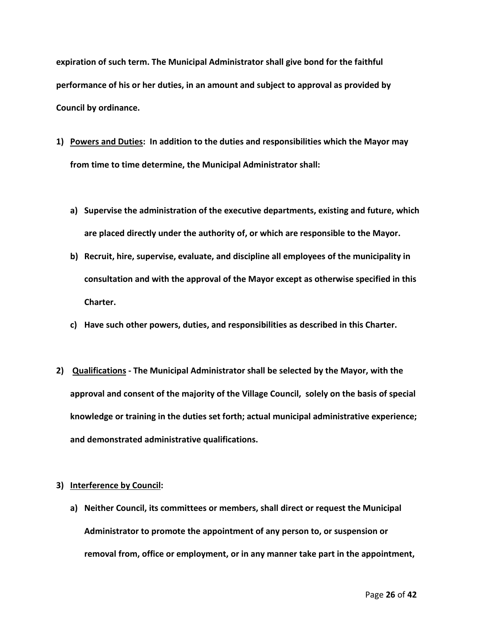**expiration of such term. The Municipal Administrator shall give bond for the faithful performance of his or her duties, in an amount and subject to approval as provided by Council by ordinance.**

- **1) Powers and Duties: In addition to the duties and responsibilities which the Mayor may from time to time determine, the Municipal Administrator shall:**
	- **a) Supervise the administration of the executive departments, existing and future, which are placed directly under the authority of, or which are responsible to the Mayor.**
	- **b) Recruit, hire, supervise, evaluate, and discipline all employees of the municipality in consultation and with the approval of the Mayor except as otherwise specified in this Charter.**
	- **c) Have such other powers, duties, and responsibilities as described in this Charter.**
- **2) Qualifications - The Municipal Administrator shall be selected by the Mayor, with the approval and consent of the majority of the Village Council, solely on the basis of special knowledge or training in the duties set forth; actual municipal administrative experience; and demonstrated administrative qualifications.**

### **3) Interference by Council:**

**a) Neither Council, its committees or members, shall direct or request the Municipal Administrator to promote the appointment of any person to, or suspension or removal from, office or employment, or in any manner take part in the appointment,**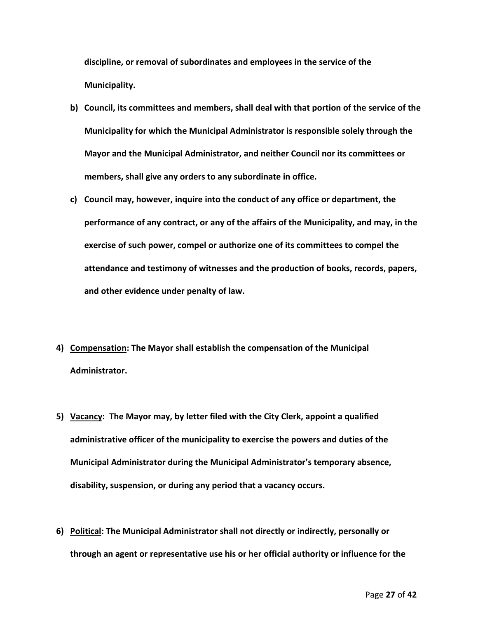**discipline, or removal of subordinates and employees in the service of the Municipality.**

- **b) Council, its committees and members, shall deal with that portion of the service of the Municipality for which the Municipal Administrator is responsible solely through the Mayor and the Municipal Administrator, and neither Council nor its committees or members, shall give any orders to any subordinate in office.**
- **c) Council may, however, inquire into the conduct of any office or department, the performance of any contract, or any of the affairs of the Municipality, and may, in the exercise of such power, compel or authorize one of its committees to compel the attendance and testimony of witnesses and the production of books, records, papers, and other evidence under penalty of law.**
- **4) Compensation: The Mayor shall establish the compensation of the Municipal Administrator.**
- **5) Vacancy: The Mayor may, by letter filed with the City Clerk, appoint a qualified administrative officer of the municipality to exercise the powers and duties of the Municipal Administrator during the Municipal Administrator's temporary absence, disability, suspension, or during any period that a vacancy occurs.**
- **6) Political: The Municipal Administrator shall not directly or indirectly, personally or through an agent or representative use his or her official authority or influence for the**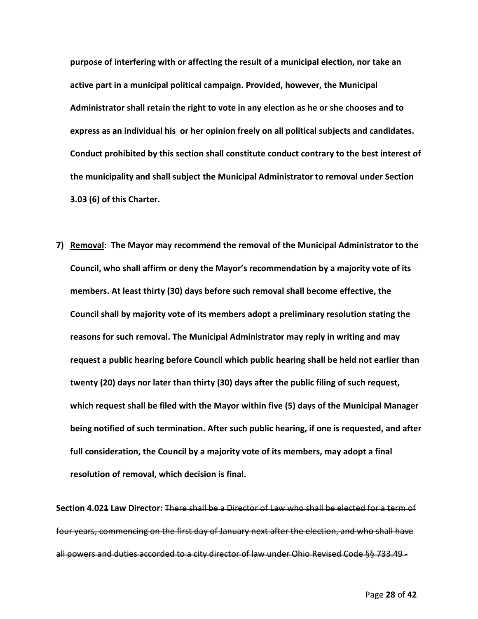**purpose of interfering with or affecting the result of a municipal election, nor take an active part in a municipal political campaign. Provided, however, the Municipal Administrator shall retain the right to vote in any election as he or she chooses and to express as an individual his or her opinion freely on all political subjects and candidates. Conduct prohibited by this section shall constitute conduct contrary to the best interest of the municipality and shall subject the Municipal Administrator to removal under Section 3.03 (6) of this Charter.**

**7) Removal: The Mayor may recommend the removal of the Municipal Administrator to the Council, who shall affirm or deny the Mayor's recommendation by a majority vote of its members. At least thirty (30) days before such removal shall become effective, the Council shall by majority vote of its members adopt a preliminary resolution stating the reasons for such removal. The Municipal Administrator may reply in writing and may request a public hearing before Council which public hearing shall be held not earlier than twenty (20) days nor later than thirty (30) days after the public filing of such request, which request shall be filed with the Mayor within five (5) days of the Municipal Manager being notified of such termination. After such public hearing, if one is requested, and after full consideration, the Council by a majority vote of its members, may adopt a final resolution of removal, which decision is final.**

**Section 4.021 Law Director:** There shall be a Director of Law who shall be elected for a term of four years, commencing on the first day of January next after the election, and who shall have all powers and duties accorded to a city director of law under Ohio Revised Code §§ 733.49 -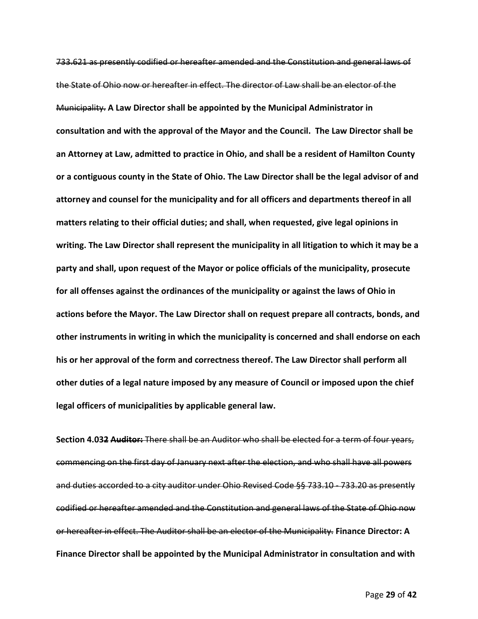733.621 as presently codified or hereafter amended and the Constitution and general laws of the State of Ohio now or hereafter in effect. The director of Law shall be an elector of the Municipality. **A Law Director shall be appointed by the Municipal Administrator in consultation and with the approval of the Mayor and the Council. The Law Director shall be an Attorney at Law, admitted to practice in Ohio, and shall be a resident of Hamilton County or a contiguous county in the State of Ohio. The Law Director shall be the legal advisor of and attorney and counsel for the municipality and for all officers and departments thereof in all matters relating to their official duties; and shall, when requested, give legal opinions in writing. The Law Director shall represent the municipality in all litigation to which it may be a party and shall, upon request of the Mayor or police officials of the municipality, prosecute for all offenses against the ordinances of the municipality or against the laws of Ohio in actions before the Mayor. The Law Director shall on request prepare all contracts, bonds, and other instruments in writing in which the municipality is concerned and shall endorse on each his or her approval of the form and correctness thereof. The Law Director shall perform all other duties of a legal nature imposed by any measure of Council or imposed upon the chief legal officers of municipalities by applicable general law.** 

**Section 4.032 Auditor:** There shall be an Auditor who shall be elected for a term of four years, commencing on the first day of January next after the election, and who shall have all powers and duties accorded to a city auditor under Ohio Revised Code §§ 733.10 - 733.20 as presently codified or hereafter amended and the Constitution and general laws of the State of Ohio now or hereafter in effect. The Auditor shall be an elector of the Municipality. **Finance Director: A Finance Director shall be appointed by the Municipal Administrator in consultation and with**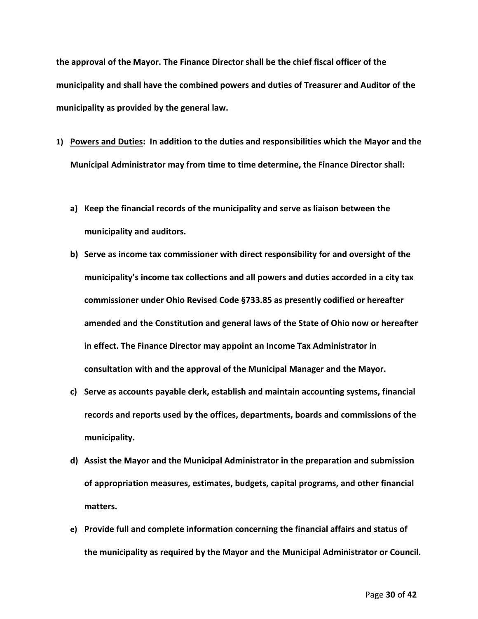**the approval of the Mayor. The Finance Director shall be the chief fiscal officer of the municipality and shall have the combined powers and duties of Treasurer and Auditor of the municipality as provided by the general law.** 

- **1) Powers and Duties: In addition to the duties and responsibilities which the Mayor and the Municipal Administrator may from time to time determine, the Finance Director shall:**
	- **a) Keep the financial records of the municipality and serve as liaison between the municipality and auditors.**
	- **b) Serve as income tax commissioner with direct responsibility for and oversight of the municipality's income tax collections and all powers and duties accorded in a city tax commissioner under Ohio Revised Code §733.85 as presently codified or hereafter amended and the Constitution and general laws of the State of Ohio now or hereafter in effect. The Finance Director may appoint an Income Tax Administrator in consultation with and the approval of the Municipal Manager and the Mayor.**
	- **c) Serve as accounts payable clerk, establish and maintain accounting systems, financial records and reports used by the offices, departments, boards and commissions of the municipality.**
	- **d) Assist the Mayor and the Municipal Administrator in the preparation and submission of appropriation measures, estimates, budgets, capital programs, and other financial matters.**
	- **e) Provide full and complete information concerning the financial affairs and status of the municipality as required by the Mayor and the Municipal Administrator or Council.**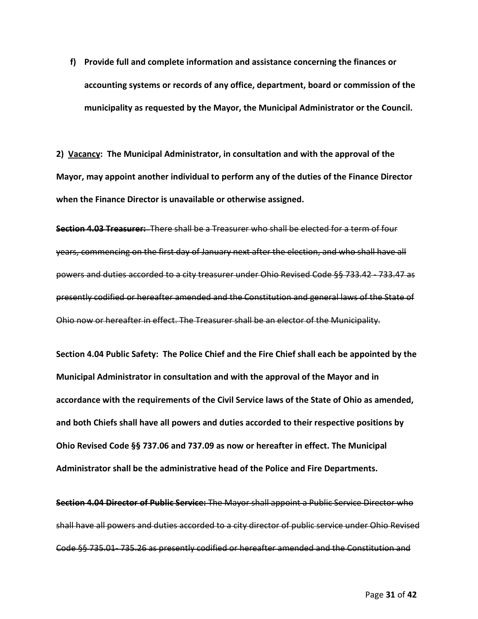**f) Provide full and complete information and assistance concerning the finances or accounting systems or records of any office, department, board or commission of the municipality as requested by the Mayor, the Municipal Administrator or the Council.** 

**2) Vacancy: The Municipal Administrator, in consultation and with the approval of the Mayor, may appoint another individual to perform any of the duties of the Finance Director when the Finance Director is unavailable or otherwise assigned.**

**Section 4.03 Treasurer:** There shall be a Treasurer who shall be elected for a term of four years, commencing on the first day of January next after the election, and who shall have all powers and duties accorded to a city treasurer under Ohio Revised Code §§ 733.42 - 733.47 as presently codified or hereafter amended and the Constitution and general laws of the State of Ohio now or hereafter in effect. The Treasurer shall be an elector of the Municipality.

**Section 4.04 Public Safety: The Police Chief and the Fire Chief shall each be appointed by the Municipal Administrator in consultation and with the approval of the Mayor and in accordance with the requirements of the Civil Service laws of the State of Ohio as amended, and both Chiefs shall have all powers and duties accorded to their respective positions by Ohio Revised Code §§ 737.06 and 737.09 as now or hereafter in effect. The Municipal Administrator shall be the administrative head of the Police and Fire Departments.**

**Section 4.04 Director of Public Service:** The Mayor shall appoint a Public Service Director who shall have all powers and duties accorded to a city director of public service under Ohio Revised Code §§ 735.01- 735.26 as presently codified or hereafter amended and the Constitution and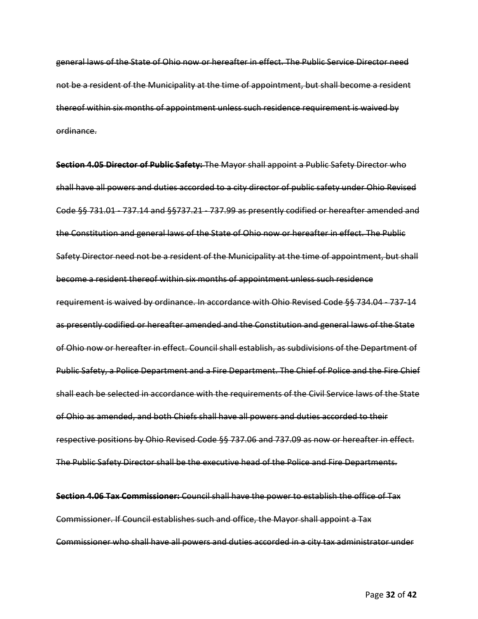general laws of the State of Ohio now or hereafter in effect. The Public Service Director need not be a resident of the Municipality at the time of appointment, but shall become a resident thereof within six months of appointment unless such residence requirement is waived by ordinance.

**Section 4.05 Director of Public Safety:** The Mayor shall appoint a Public Safety Director who shall have all powers and duties accorded to a city director of public safety under Ohio Revised Code §§ 731.01 - 737.14 and §§737.21 - 737.99 as presently codified or hereafter amended and the Constitution and general laws of the State of Ohio now or hereafter in effect. The Public Safety Director need not be a resident of the Municipality at the time of appointment, but shall become a resident thereof within six months of appointment unless such residence requirement is waived by ordinance. In accordance with Ohio Revised Code §§ 734.04 - 737-14 as presently codified or hereafter amended and the Constitution and general laws of the State of Ohio now or hereafter in effect. Council shall establish, as subdivisions of the Department of Public Safety, a Police Department and a Fire Department. The Chief of Police and the Fire Chief shall each be selected in accordance with the requirements of the Civil Service laws of the State of Ohio as amended, and both Chiefs shall have all powers and duties accorded to their respective positions by Ohio Revised Code §§ 737.06 and 737.09 as now or hereafter in effect. The Public Safety Director shall be the executive head of the Police and Fire Departments.

**Section 4.06 Tax Commissioner:** Council shall have the power to establish the office of Tax Commissioner. If Council establishes such and office, the Mayor shall appoint a Tax Commissioner who shall have all powers and duties accorded in a city tax administrator under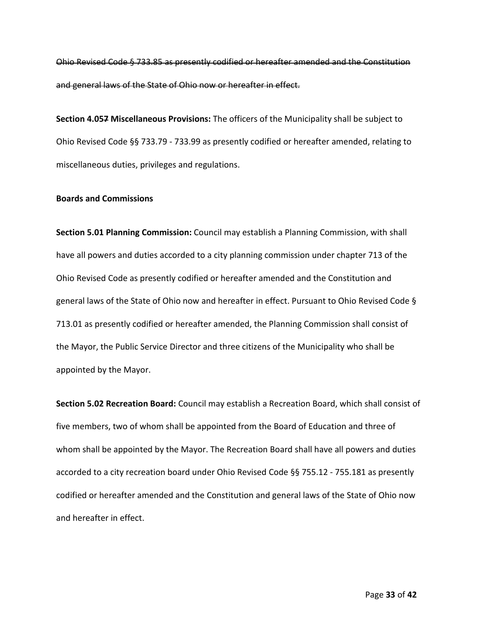Ohio Revised Code § 733.85 as presently codified or hereafter amended and the Constitution and general laws of the State of Ohio now or hereafter in effect.

**Section 4.057 Miscellaneous Provisions:** The officers of the Municipality shall be subject to Ohio Revised Code §§ 733.79 - 733.99 as presently codified or hereafter amended, relating to miscellaneous duties, privileges and regulations.

### **Boards and Commissions**

**Section 5.01 Planning Commission:** Council may establish a Planning Commission, with shall have all powers and duties accorded to a city planning commission under chapter 713 of the Ohio Revised Code as presently codified or hereafter amended and the Constitution and general laws of the State of Ohio now and hereafter in effect. Pursuant to Ohio Revised Code § 713.01 as presently codified or hereafter amended, the Planning Commission shall consist of the Mayor, the Public Service Director and three citizens of the Municipality who shall be appointed by the Mayor.

**Section 5.02 Recreation Board:** Council may establish a Recreation Board, which shall consist of five members, two of whom shall be appointed from the Board of Education and three of whom shall be appointed by the Mayor. The Recreation Board shall have all powers and duties accorded to a city recreation board under Ohio Revised Code §§ 755.12 - 755.181 as presently codified or hereafter amended and the Constitution and general laws of the State of Ohio now and hereafter in effect.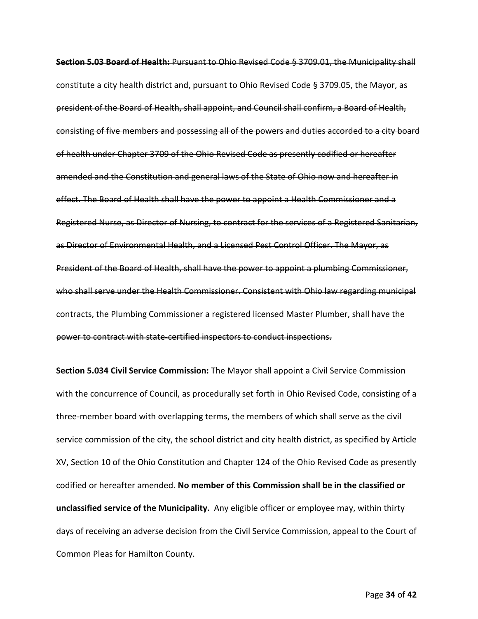**Section 5.03 Board of Health:** Pursuant to Ohio Revised Code § 3709.01, the Municipality shall constitute a city health district and, pursuant to Ohio Revised Code § 3709.05, the Mayor, as president of the Board of Health, shall appoint, and Council shall confirm, a Board of Health, consisting of five members and possessing all of the powers and duties accorded to a city board of health under Chapter 3709 of the Ohio Revised Code as presently codified or hereafter amended and the Constitution and general laws of the State of Ohio now and hereafter in effect. The Board of Health shall have the power to appoint a Health Commissioner and a Registered Nurse, as Director of Nursing, to contract for the services of a Registered Sanitarian, as Director of Environmental Health, and a Licensed Pest Control Officer. The Mayor, as President of the Board of Health, shall have the power to appoint a plumbing Commissioner, who shall serve under the Health Commissioner. Consistent with Ohio law regarding municipal contracts, the Plumbing Commissioner a registered licensed Master Plumber, shall have the power to contract with state-certified inspectors to conduct inspections.

**Section 5.034 Civil Service Commission:** The Mayor shall appoint a Civil Service Commission with the concurrence of Council, as procedurally set forth in Ohio Revised Code, consisting of a three-member board with overlapping terms, the members of which shall serve as the civil service commission of the city, the school district and city health district, as specified by Article XV, Section 10 of the Ohio Constitution and Chapter 124 of the Ohio Revised Code as presently codified or hereafter amended. **No member of this Commission shall be in the classified or unclassified service of the Municipality.** Any eligible officer or employee may, within thirty days of receiving an adverse decision from the Civil Service Commission, appeal to the Court of Common Pleas for Hamilton County.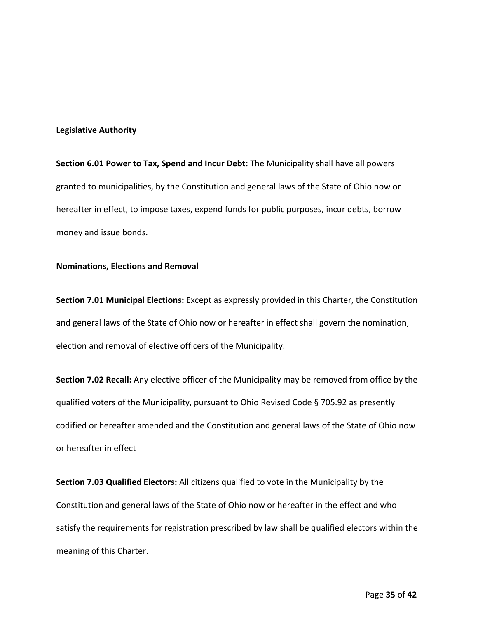### **Legislative Authority**

**Section 6.01 Power to Tax, Spend and Incur Debt:** The Municipality shall have all powers granted to municipalities, by the Constitution and general laws of the State of Ohio now or hereafter in effect, to impose taxes, expend funds for public purposes, incur debts, borrow money and issue bonds.

### **Nominations, Elections and Removal**

**Section 7.01 Municipal Elections:** Except as expressly provided in this Charter, the Constitution and general laws of the State of Ohio now or hereafter in effect shall govern the nomination, election and removal of elective officers of the Municipality.

**Section 7.02 Recall:** Any elective officer of the Municipality may be removed from office by the qualified voters of the Municipality, pursuant to Ohio Revised Code § 705.92 as presently codified or hereafter amended and the Constitution and general laws of the State of Ohio now or hereafter in effect

**Section 7.03 Qualified Electors:** All citizens qualified to vote in the Municipality by the Constitution and general laws of the State of Ohio now or hereafter in the effect and who satisfy the requirements for registration prescribed by law shall be qualified electors within the meaning of this Charter.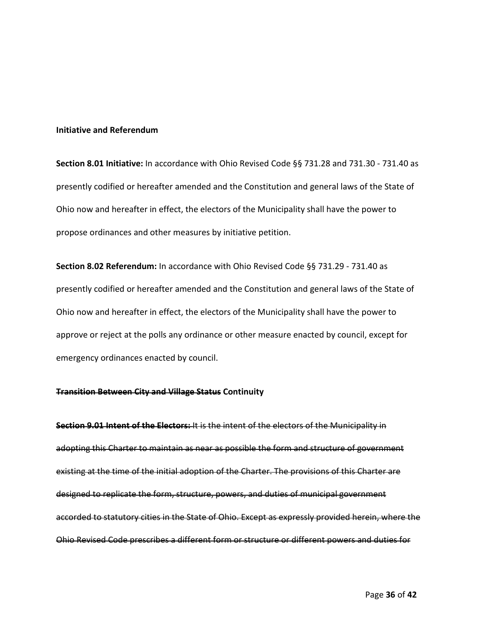### **Initiative and Referendum**

**Section 8.01 Initiative:** In accordance with Ohio Revised Code §§ 731.28 and 731.30 - 731.40 as presently codified or hereafter amended and the Constitution and general laws of the State of Ohio now and hereafter in effect, the electors of the Municipality shall have the power to propose ordinances and other measures by initiative petition.

**Section 8.02 Referendum:** In accordance with Ohio Revised Code §§ 731.29 - 731.40 as presently codified or hereafter amended and the Constitution and general laws of the State of Ohio now and hereafter in effect, the electors of the Municipality shall have the power to approve or reject at the polls any ordinance or other measure enacted by council, except for emergency ordinances enacted by council.

### **Transition Between City and Village Status Continuity**

**Section 9.01 Intent of the Electors:** It is the intent of the electors of the Municipality in adopting this Charter to maintain as near as possible the form and structure of government existing at the time of the initial adoption of the Charter. The provisions of this Charter are designed to replicate the form, structure, powers, and duties of municipal government accorded to statutory cities in the State of Ohio. Except as expressly provided herein, where the Ohio Revised Code prescribes a different form or structure or different powers and duties for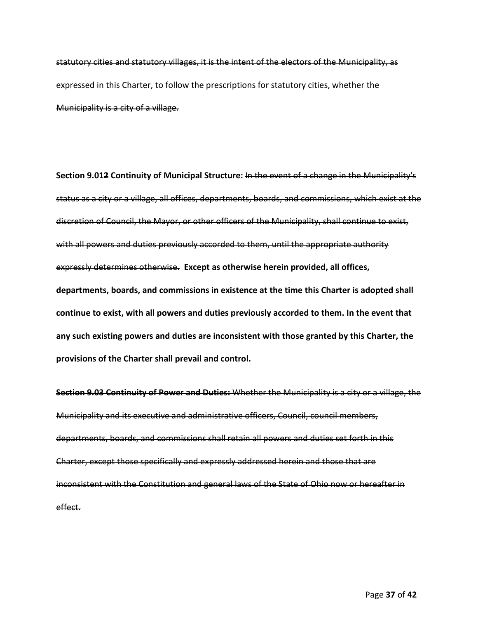statutory cities and statutory villages, it is the intent of the electors of the Municipality, as expressed in this Charter, to follow the prescriptions for statutory cities, whether the Municipality is a city of a village.

**Section 9.012 Continuity of Municipal Structure:** In the event of a change in the Municipality's status as a city or a village, all offices, departments, boards, and commissions, which exist at the discretion of Council, the Mayor, or other officers of the Municipality, shall continue to exist, with all powers and duties previously accorded to them, until the appropriate authority expressly determines otherwise. **Except as otherwise herein provided, all offices, departments, boards, and commissions in existence at the time this Charter is adopted shall continue to exist, with all powers and duties previously accorded to them. In the event that any such existing powers and duties are inconsistent with those granted by this Charter, the provisions of the Charter shall prevail and control.** 

**Section 9.03 Continuity of Power and Duties:** Whether the Municipality is a city or a village, the Municipality and its executive and administrative officers, Council, council members, departments, boards, and commissions shall retain all powers and duties set forth in this Charter, except those specifically and expressly addressed herein and those that are inconsistent with the Constitution and general laws of the State of Ohio now or hereafter in effect.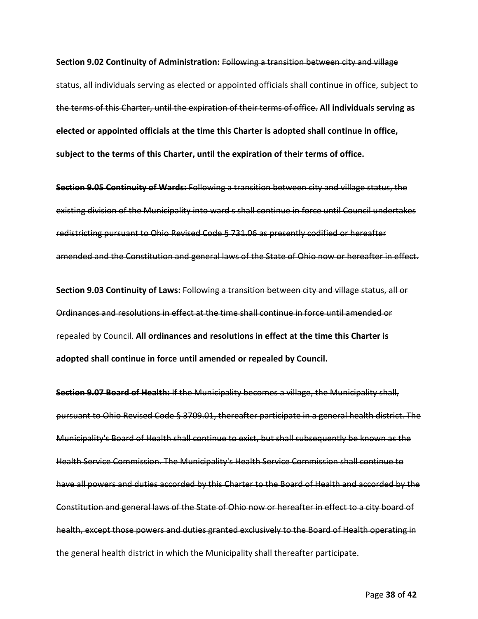**Section 9.02 Continuity of Administration:** Following a transition between city and village status, all individuals serving as elected or appointed officials shall continue in office, subject to the terms of this Charter, until the expiration of their terms of office. **All individuals serving as elected or appointed officials at the time this Charter is adopted shall continue in office, subject to the terms of this Charter, until the expiration of their terms of office.** 

**Section 9.05 Continuity of Wards:** Following a transition between city and village status, the existing division of the Municipality into ward s shall continue in force until Council undertakes redistricting pursuant to Ohio Revised Code § 731.06 as presently codified or hereafter amended and the Constitution and general laws of the State of Ohio now or hereafter in effect.

**Section 9.03 Continuity of Laws:** Following a transition between city and village status, all or Ordinances and resolutions in effect at the time shall continue in force until amended or repealed by Council. **All ordinances and resolutions in effect at the time this Charter is adopted shall continue in force until amended or repealed by Council.**

**Section 9.07 Board of Health:** If the Municipality becomes a village, the Municipality shall, pursuant to Ohio Revised Code § 3709.01, thereafter participate in a general health district. The Municipality's Board of Health shall continue to exist, but shall subsequently be known as the Health Service Commission. The Municipality's Health Service Commission shall continue to have all powers and duties accorded by this Charter to the Board of Health and accorded by the Constitution and general laws of the State of Ohio now or hereafter in effect to a city board of health, except those powers and duties granted exclusively to the Board of Health operating in the general health district in which the Municipality shall thereafter participate.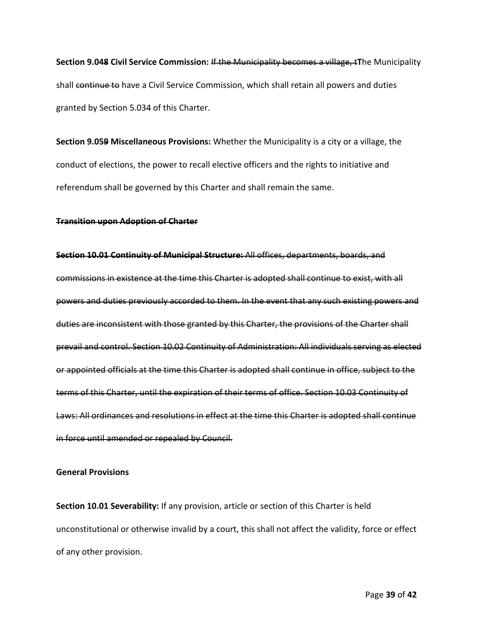**Section 9.048 Civil Service Commission:** If the Municipality becomes a village, t**T**he Municipality shall continue to have a Civil Service Commission, which shall retain all powers and duties granted by Section 5.034 of this Charter.

**Section 9.059 Miscellaneous Provisions:** Whether the Municipality is a city or a village, the conduct of elections, the power to recall elective officers and the rights to initiative and referendum shall be governed by this Charter and shall remain the same.

### **Transition upon Adoption of Charter**

**Section 10.01 Continuity of Municipal Structure:** All offices, departments, boards, and commissions in existence at the time this Charter is adopted shall continue to exist, with all powers and duties previously accorded to them. In the event that any such existing powers and duties are inconsistent with those granted by this Charter, the provisions of the Charter shall prevail and control. Section 10.02 Continuity of Administration: All individuals serving as elected or appointed officials at the time this Charter is adopted shall continue in office, subject to the terms of this Charter, until the expiration of their terms of office. Section 10.03 Continuity of Laws: All ordinances and resolutions in effect at the time this Charter is adopted shall continue in force until amended or repealed by Council.

### **General Provisions**

**Section 10.01 Severability:** If any provision, article or section of this Charter is held unconstitutional or otherwise invalid by a court, this shall not affect the validity, force or effect of any other provision.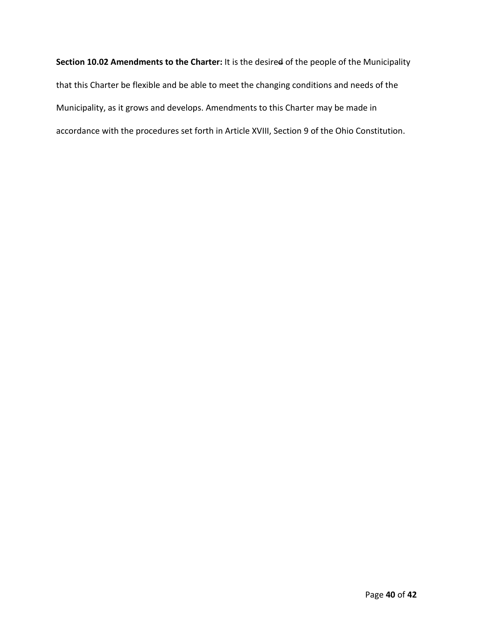**Section 10.02 Amendments to the Charter:** It is the desired of the people of the Municipality that this Charter be flexible and be able to meet the changing conditions and needs of the Municipality, as it grows and develops. Amendments to this Charter may be made in accordance with the procedures set forth in Article XVIII, Section 9 of the Ohio Constitution.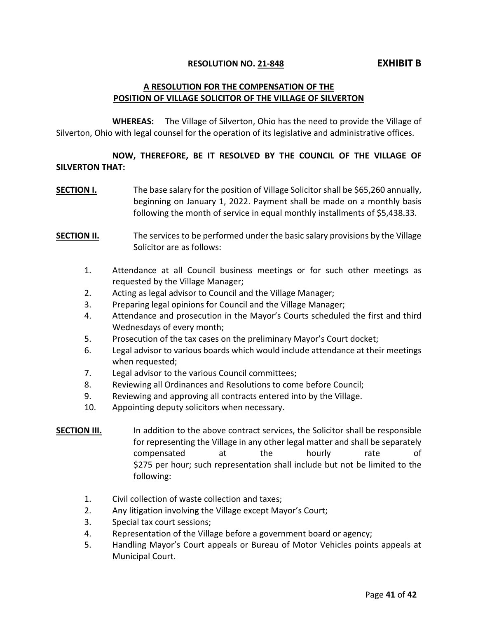### **RESOLUTION NO. 21-848 EXHIBIT B**

### **A RESOLUTION FOR THE COMPENSATION OF THE POSITION OF VILLAGE SOLICITOR OF THE VILLAGE OF SILVERTON**

**WHEREAS:** The Village of Silverton, Ohio has the need to provide the Village of Silverton, Ohio with legal counsel for the operation of its legislative and administrative offices.

### **NOW, THEREFORE, BE IT RESOLVED BY THE COUNCIL OF THE VILLAGE OF SILVERTON THAT:**

**SECTION I.** The base salary for the position of Village Solicitor shall be \$65,260 annually, beginning on January 1, 2022. Payment shall be made on a monthly basis following the month of service in equal monthly installments of \$5,438.33.

### **SECTION II.** The services to be performed under the basic salary provisions by the Village Solicitor are as follows:

- 1. Attendance at all Council business meetings or for such other meetings as requested by the Village Manager;
- 2. Acting as legal advisor to Council and the Village Manager;
- 3. Preparing legal opinions for Council and the Village Manager;
- 4. Attendance and prosecution in the Mayor's Courts scheduled the first and third Wednesdays of every month;
- 5. Prosecution of the tax cases on the preliminary Mayor's Court docket;
- 6. Legal advisor to various boards which would include attendance at their meetings when requested;
- 7. Legal advisor to the various Council committees;
- 8. Reviewing all Ordinances and Resolutions to come before Council;
- 9. Reviewing and approving all contracts entered into by the Village.
- 10. Appointing deputy solicitors when necessary.

- **SECTION III.** In addition to the above contract services, the Solicitor shall be responsible for representing the Village in any other legal matter and shall be separately compensated at the hourly rate of \$275 per hour; such representation shall include but not be limited to the following:
	- 1. Civil collection of waste collection and taxes;
	- 2. Any litigation involving the Village except Mayor's Court;
	- 3. Special tax court sessions;
	- 4. Representation of the Village before a government board or agency;
	- 5. Handling Mayor's Court appeals or Bureau of Motor Vehicles points appeals at Municipal Court.